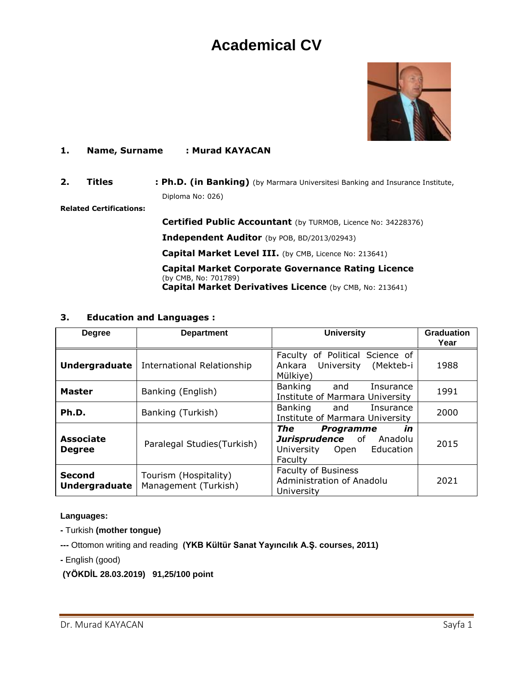# **Academical CV**



#### **1. Name, Surname : Murad KAYACAN**

**2. Titles : Ph.D. (in Banking)** (by Marmara Universitesi Banking and Insurance Institute, Diploma No: 026)

**Related Certifications:**

 **Certified Public Accountant** (by TURMOB, Licence No: 34228376)

 **Independent Auditor** (by POB, BD/2013/02943)

Capital Market Level III. (by CMB, Licence No: 213641)

 **Capital Market Corporate Governance Rating Licence**  (by CMB, No: 701789) **Capital Market Derivatives Licence** (by CMB, No: 213641)

#### **3. Education and Languages :**

| <b>Degree</b>                         | <b>Department</b>                             | <b>University</b>                                                                                 | <b>Graduation</b><br>Year |
|---------------------------------------|-----------------------------------------------|---------------------------------------------------------------------------------------------------|---------------------------|
| Undergraduate                         | International Relationship                    | Faculty of Political Science of<br>(Mekteb-i<br>University<br>Ankara<br>Mülkiye)                  | 1988                      |
| <b>Master</b>                         | Banking (English)                             | Banking<br>and<br>Insurance<br>Institute of Marmara University                                    | 1991                      |
| Ph.D.                                 | Banking (Turkish)                             | Banking<br>Insurance<br>and<br>Institute of Marmara University                                    | 2000                      |
| <b>Associate</b><br><b>Degree</b>     | Paralegal Studies(Turkish)                    | The<br>in<br><b>Programme</b><br>Jurisprudence of Anadolu<br>University Open Education<br>Faculty | 2015                      |
| <b>Second</b><br><b>Undergraduate</b> | Tourism (Hospitality)<br>Management (Turkish) | <b>Faculty of Business</b><br>Administration of Anadolu<br>University                             | 2021                      |

#### **Languages:**

- **-** Turkish **(mother tongue)**
- **---** Ottomon writing and reading **(YKB Kültür Sanat Yayıncılık A.Ş. courses, 2011)**
- **-** English (good)
- **(YÖKDİL 28.03.2019) 91,25/100 point**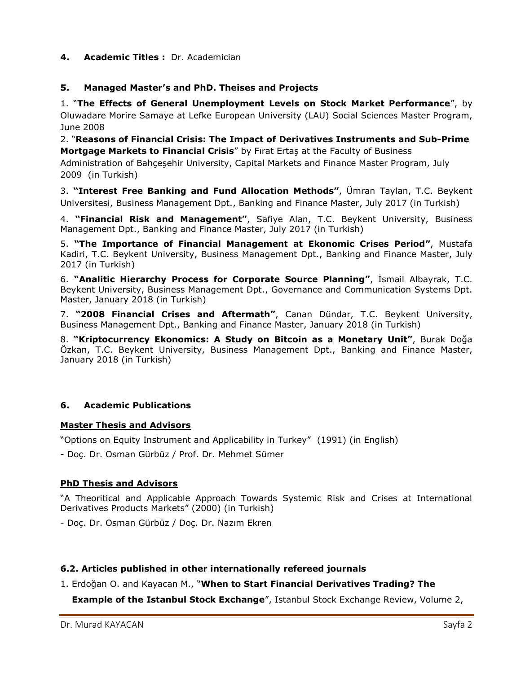## **4. Academic Titles :** Dr. Academician

## **5. Managed Master's and PhD. Theises and Projects**

1. "**The Effects of General Unemployment Levels on Stock Market Performance**", by Oluwadare Morire Samaye at Lefke European University (LAU) Social Sciences Master Program, June 2008

2. "**Reasons of Financial Crisis: The Impact of Derivatives Instruments and Sub-Prime Mortgage Markets to Financial Crisis**" by Fırat Ertaş at the Faculty of Business Administration of Bahçeşehir University, Capital Markets and Finance Master Program, July 2009 (in Turkish)

3. **"Interest Free Banking and Fund Allocation Methods"**, Ümran Taylan, T.C. Beykent Universitesi, Business Management Dpt., Banking and Finance Master, July 2017 (in Turkish)

4. **"Financial Risk and Management"**, Safiye Alan, T.C. Beykent University, Business Management Dpt., Banking and Finance Master, July 2017 (in Turkish)

5. **"The Importance of Financial Management at Ekonomic Crises Period"**, Mustafa Kadiri, T.C. Beykent University, Business Management Dpt., Banking and Finance Master, July 2017 (in Turkish)

6. **"Analitic Hierarchy Process for Corporate Source Planning"**, İsmail Albayrak, T.C. Beykent University, Business Management Dpt., Governance and Communication Systems Dpt. Master, January 2018 (in Turkish)

7. **"2008 Financial Crises and Aftermath"**, Canan Dündar, T.C. Beykent University, Business Management Dpt., Banking and Finance Master, January 2018 (in Turkish)

8. **"Kriptocurrency Ekonomics: A Study on Bitcoin as a Monetary Unit"**, Burak Doğa Özkan, T.C. Beykent University, Business Management Dpt., Banking and Finance Master, January 2018 (in Turkish)

## **6. Academic Publications**

## **Master Thesis and Advisors**

"Options on Equity Instrument and Applicability in Turkey" (1991) (in English)

- Doç. Dr. Osman Gürbüz / Prof. Dr. Mehmet Sümer

## **PhD Thesis and Advisors**

"A Theoritical and Applicable Approach Towards Systemic Risk and Crises at International Derivatives Products Markets" (2000) (in Turkish)

- Doç. Dr. Osman Gürbüz / Doç. Dr. Nazım Ekren

## **6.2. Articles published in other internationally refereed journals**

## 1. Erdoğan O. and Kayacan M., "**When to Start Financial Derivatives Trading? The**

**Example of the Istanbul Stock Exchange**", Istanbul Stock Exchange Review, Volume 2,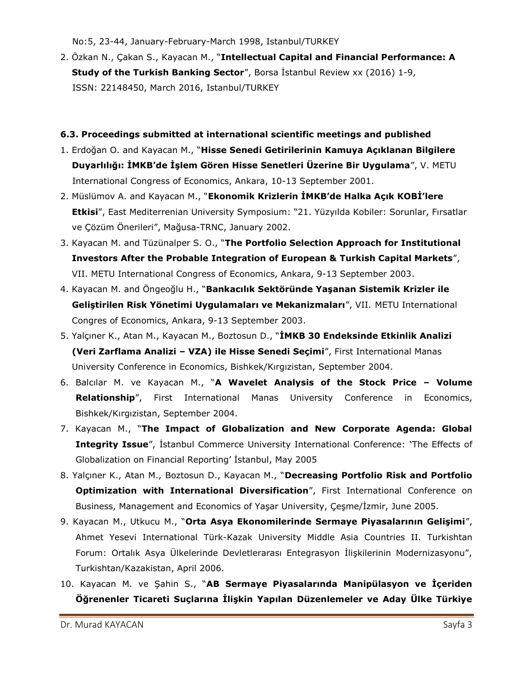No:5, 23-44, January-February-March 1998, Istanbul/TURKEY

2. Özkan N., Çakan S., Kayacan M., "**Intellectual Capital and Financial Performance: A Study of the Turkish Banking Sector**", Borsa İstanbul Review xx (2016) 1-9, ISSN: 22148450, March 2016, Istanbul/TURKEY

## **6.3. Proceedings submitted at international scientific meetings and published**

- 1. Erdoğan O. and Kayacan M., "**Hisse Senedi Getirilerinin Kamuya Açıklanan Bilgilere Duyarlılığı: İMKB'de İşlem Gören Hisse Senetleri Üzerine Bir Uygulama**", V. METU International Congress of Economics, Ankara, 10-13 September 2001.
- 2. Müslümov A. and Kayacan M., "**Ekonomik Krizlerin İMKB'de Halka Açık KOBİ'lere Etkisi**", East Mediterrenian University Symposium: "21. Yüzyılda Kobiler: Sorunlar, Fırsatlar ve Çözüm Önerileri", Mağusa-TRNC, January 2002.
- 3. Kayacan M. and Tüzünalper S. O., "**The Portfolio Selection Approach for Institutional Investors After the Probable Integration of European & Turkish Capital Markets**", VII. METU International Congress of Economics, Ankara, 9-13 September 2003.
- 4. Kayacan M. and Öngeoğlu H., "**Bankacılık Sektöründe Yaşanan Sistemik Krizler ile Geliştirilen Risk Yönetimi Uygulamaları ve Mekanizmaları**", VII. METU International Congres of Economics, Ankara, 9-13 September 2003.
- 5. Yalçıner K., Atan M., Kayacan M., Boztosun D., "**İMKB 30 Endeksinde Etkinlik Analizi (Veri Zarflama Analizi – VZA) ile Hisse Senedi Seçimi**", First International Manas University Conference in Economics, Bishkek/Kırgızistan, September 2004.
- 6. Balcılar M. ve Kayacan M., "**A Wavelet Analysis of the Stock Price – Volume Relationship**", First International Manas University Conference in Economics, Bishkek/Kırgızistan, September 2004.
- 7. Kayacan M., "**The Impact of Globalization and New Corporate Agenda: Global Integrity Issue**", İstanbul Commerce University International Conference: 'The Effects of Globalization on Financial Reporting' İstanbul, May 2005
- 8. Yalçıner K., Atan M., Boztosun D., Kayacan M., "**Decreasing Portfolio Risk and Portfolio Optimization with International Diversification**", First International Conference on Business, Management and Economics of Yaşar University, Çeşme/İzmir, June 2005.
- 9. Kayacan M., Utkucu M., "**Orta Asya Ekonomilerinde Sermaye Piyasalarının Gelişimi**", Ahmet Yesevi International Türk-Kazak University Middle Asia Countries II. Turkishtan Forum: Ortalık Asya Ülkelerinde Devletlerarası Entegrasyon İlişkilerinin Modernizasyonu", Turkishtan/Kazakistan, April 2006.
- 10. Kayacan M. ve Şahin S., "**AB Sermaye Piyasalarında Manipülasyon ve İçeriden Öğrenenler Ticareti Suçlarına İlişkin Yapılan Düzenlemeler ve Aday Ülke Türkiye**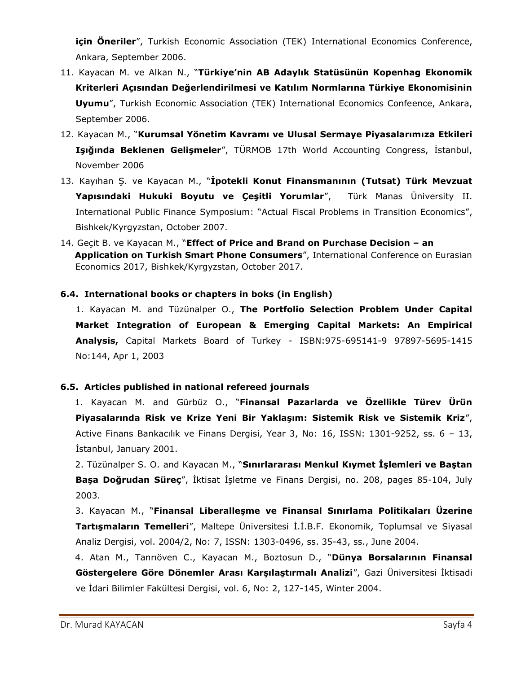**için Öneriler**", Turkish Economic Association (TEK) International Economics Conference, Ankara, September 2006.

- 11. Kayacan M. ve Alkan N., "**Türkiye'nin AB Adaylık Statüsünün Kopenhag Ekonomik Kriterleri Açısından Değerlendirilmesi ve Katılım Normlarına Türkiye Ekonomisinin Uyumu**", Turkish Economic Association (TEK) International Economics Confeence, Ankara, September 2006.
- 12. Kayacan M., "**Kurumsal Yönetim Kavramı ve Ulusal Sermaye Piyasalarımıza Etkileri Işığında Beklenen Gelişmeler**", TÜRMOB 17th World Accounting Congress, İstanbul, November 2006
- 13. Kayıhan Ş. ve Kayacan M., "**İpotekli Konut Finansmanının (Tutsat) Türk Mevzuat Yapısındaki Hukuki Boyutu ve Çeşitli Yorumlar**", Türk Manas Üniversity II. International Public Finance Symposium: "Actual Fiscal Problems in Transition Economics", Bishkek/Kyrgyzstan, October 2007.
- 14. Geçit B. ve Kayacan M., "**Effect of Price and Brand on Purchase Decision – an Application on Turkish Smart Phone Consumers**", International Conference on Eurasian Economics 2017, Bishkek/Kyrgyzstan, October 2017.

## **6.4. International books or chapters in boks (in English)**

1. Kayacan M. and Tüzünalper O., **The Portfolio Selection Problem Under Capital Market Integration of European & Emerging Capital Markets: An Empirical Analysis,** Capital Markets Board of Turkey - ISBN:975-695141-9 97897-5695-1415 No:144, Apr 1, 2003

#### **6.5. Articles published in national refereed journals**

1. Kayacan M. and Gürbüz O., "**Finansal Pazarlarda ve Özellikle Türev Ürün Piyasalarında Risk ve Krize Yeni Bir Yaklaşım: Sistemik Risk ve Sistemik Kriz**", Active Finans Bankacılık ve Finans Dergisi, Year 3, No: 16, ISSN: 1301-9252, ss. 6 – 13, İstanbul, January 2001.

 2. Tüzünalper S. O. and Kayacan M., "**Sınırlararası Menkul Kıymet İşlemleri ve Baştan Başa Doğrudan Süreç**", İktisat İşletme ve Finans Dergisi, no. 208, pages 85-104, July 2003.

 3. Kayacan M., "**Finansal Liberalleşme ve Finansal Sınırlama Politikaları Üzerine Tartışmaların Temelleri**", Maltepe Üniversitesi İ.İ.B.F. Ekonomik, Toplumsal ve Siyasal Analiz Dergisi, vol. 2004/2, No: 7, ISSN: 1303-0496, ss. 35-43, ss., June 2004.

 4. Atan M., Tanrıöven C., Kayacan M., Boztosun D., "**Dünya Borsalarının Finansal Göstergelere Göre Dönemler Arası Karşılaştırmalı Analizi**", Gazi Üniversitesi İktisadi ve İdari Bilimler Fakültesi Dergisi, vol. 6, No: 2, 127-145, Winter 2004.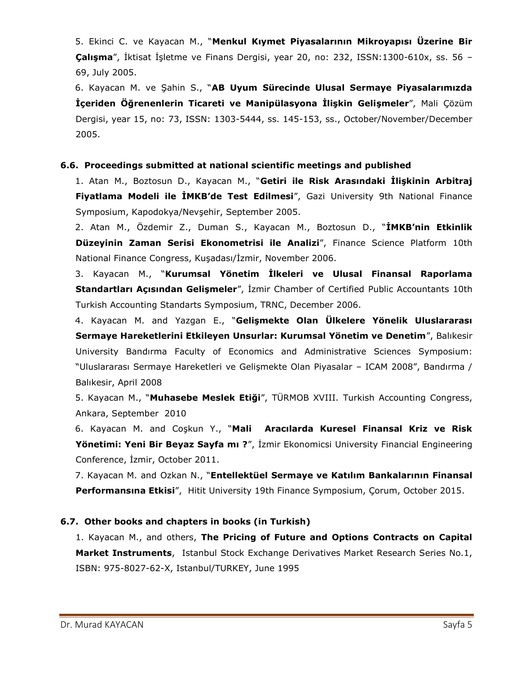5. Ekinci C. ve Kayacan M., "**Menkul Kıymet Piyasalarının Mikroyapısı Üzerine Bir Çalışma**", İktisat İşletme ve Finans Dergisi, year 20, no: 232, ISSN:1300-610x, ss. 56 – 69, July 2005.

 6. Kayacan M. ve Şahin S., "**AB Uyum Sürecinde Ulusal Sermaye Piyasalarımızda İçeriden Öğrenenlerin Ticareti ve Manipülasyona İlişkin Gelişmeler**", Mali Çözüm Dergisi, year 15, no: 73, ISSN: 1303-5444, ss. 145-153, ss., October/November/December 2005.

#### **6.6. Proceedings submitted at national scientific meetings and published**

 1. Atan M., Boztosun D., Kayacan M., "**Getiri ile Risk Arasındaki İlişkinin Arbitraj Fiyatlama Modeli ile İMKB'de Test Edilmesi**", Gazi University 9th National Finance Symposium, Kapodokya/Nevşehir, September 2005.

 2. Atan M., Özdemir Z., Duman S., Kayacan M., Boztosun D., "**İMKB'nin Etkinlik Düzeyinin Zaman Serisi Ekonometrisi ile Analizi**", Finance Science Platform 10th National Finance Congress, Kuşadası/İzmir, November 2006.

 3. Kayacan M., "**Kurumsal Yönetim İlkeleri ve Ulusal Finansal Raporlama Standartları Açısından Gelişmeler**", İzmir Chamber of Certified Public Accountants 10th Turkish Accounting Standarts Symposium, TRNC, December 2006.

 4. Kayacan M. and Yazgan E., "**Gelişmekte Olan Ülkelere Yönelik Uluslararası Sermaye Hareketlerini Etkileyen Unsurlar: Kurumsal Yönetim ve Denetim**", Balıkesir University Bandırma Faculty of Economics and Administrative Sciences Symposium: "Uluslararası Sermaye Hareketleri ve Gelişmekte Olan Piyasalar – ICAM 2008", Bandırma / Balıkesir, April 2008

 5. Kayacan M., "**Muhasebe Meslek Etiği**", TÜRMOB XVIII. Turkish Accounting Congress, Ankara, September 2010

 6. Kayacan M. and Coşkun Y., "**Mali Aracılarda Kuresel Finansal Kriz ve Risk Yönetimi: Yeni Bir Beyaz Sayfa mı ?**", İzmir Ekonomicsi University Financial Engineering Conference, İzmir, October 2011.

 7. Kayacan M. and Ozkan N., "**Entellektüel Sermaye ve Katılım Bankalarının Finansal Performansına Etkisi**", Hitit University 19th Finance Symposium, Çorum, October 2015.

## **6.7. Other books and chapters in books (in Turkish)**

1. Kayacan M., and others, **The Pricing of Future and Options Contracts on Capital Market Instruments**, Istanbul Stock Exchange Derivatives Market Research Series No.1, ISBN: 975-8027-62-X, Istanbul/TURKEY, June 1995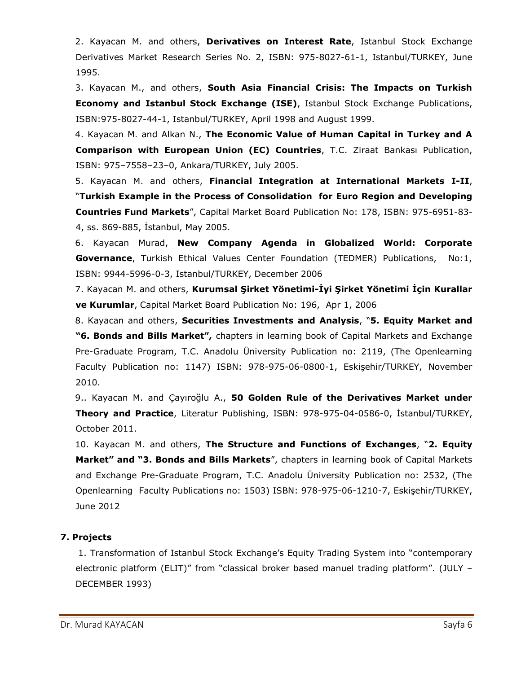2. Kayacan M. and others, **Derivatives on Interest Rate**, Istanbul Stock Exchange Derivatives Market Research Series No. 2, ISBN: 975-8027-61-1, Istanbul/TURKEY, June 1995.

 3. Kayacan M., and others, **South Asia Financial Crisis: The Impacts on Turkish Economy and Istanbul Stock Exchange (ISE)**, Istanbul Stock Exchange Publications, ISBN:975-8027-44-1, Istanbul/TURKEY, April 1998 and August 1999.

 4. Kayacan M. and Alkan N., **The Economic Value of Human Capital in Turkey and A Comparison with European Union (EC) Countries**, T.C. Ziraat Bankası Publication, ISBN: 975–7558–23–0, Ankara/TURKEY, July 2005.

 5. Kayacan M. and others, **Financial Integration at International Markets I-II**, "**Turkish Example in the Process of Consolidation for Euro Region and Developing Countries Fund Markets**", Capital Market Board Publication No: 178, ISBN: 975-6951-83- 4, ss. 869-885, İstanbul, May 2005.

 6. Kayacan Murad, **New Company Agenda in Globalized World: Corporate Governance**, Turkish Ethical Values Center Foundation (TEDMER) Publications, No:1, ISBN: 9944-5996-0-3, Istanbul/TURKEY, December 2006

 7. Kayacan M. and others, **Kurumsal Şirket Yönetimi-İyi Şirket Yönetimi İçin Kurallar ve Kurumlar**, Capital Market Board Publication No: 196, Apr 1, 2006

 8. Kayacan and others, **Securities Investments and Analysis**, "**5. Equity Market and "6. Bonds and Bills Market",** chapters in learning book of Capital Markets and Exchange Pre-Graduate Program, T.C. Anadolu Üniversity Publication no: 2119, (The Openlearning Faculty Publication no: 1147) ISBN: 978-975-06-0800-1, Eskişehir/TURKEY, November 2010.

 9.. Kayacan M. and Çayıroğlu A., **50 Golden Rule of the Derivatives Market under Theory and Practice**, Literatur Publishing, ISBN: 978-975-04-0586-0, İstanbul/TURKEY, October 2011.

 10. Kayacan M. and others, **The Structure and Functions of Exchanges**, "**2. Equity Market" and "3. Bonds and Bills Markets**", chapters in learning book of Capital Markets and Exchange Pre-Graduate Program, T.C. Anadolu Üniversity Publication no: 2532, (The Openlearning Faculty Publications no: 1503) ISBN: 978-975-06-1210-7, Eskişehir/TURKEY, June 2012

## **7. Projects**

 1. Transformation of Istanbul Stock Exchange's Equity Trading System into "contemporary electronic platform (ELIT)" from "classical broker based manuel trading platform". (JULY – DECEMBER 1993)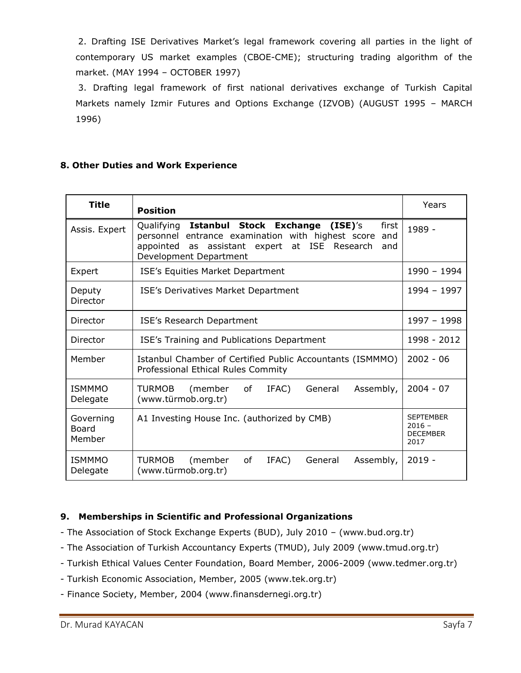2. Drafting ISE Derivatives Market's legal framework covering all parties in the light of contemporary US market examples (CBOE-CME); structuring trading algorithm of the market. (MAY 1994 – OCTOBER 1997)

 3. Drafting legal framework of first national derivatives exchange of Turkish Capital Markets namely Izmir Futures and Options Exchange (IZVOB) (AUGUST 1995 – MARCH 1996)

# **8. Other Duties and Work Experience**

| Title                               | <b>Position</b>                                                                                                                                                                                            | Years                                                   |
|-------------------------------------|------------------------------------------------------------------------------------------------------------------------------------------------------------------------------------------------------------|---------------------------------------------------------|
| Assis. Expert                       | Qualifying Istanbul Stock Exchange<br>(ISE)'s<br>first<br>personnel entrance examination with highest score<br>and<br>assistant expert at ISE Research<br>appointed<br>as<br>and<br>Development Department | 1989 -                                                  |
| Expert                              | ISE's Equities Market Department                                                                                                                                                                           | 1990 - 1994                                             |
| Deputy<br>Director                  | ISE's Derivatives Market Department                                                                                                                                                                        | 1994 - 1997                                             |
| Director                            | ISE's Research Department                                                                                                                                                                                  | 1997 - 1998                                             |
| Director                            | ISE's Training and Publications Department                                                                                                                                                                 | 1998 - 2012                                             |
| Member                              | Istanbul Chamber of Certified Public Accountants (ISMMMO)<br>Professional Ethical Rules Commity                                                                                                            | $2002 - 06$                                             |
| <b>ISMMMO</b><br>Delegate           | <b>TURMOB</b><br>οf<br>IFAC)<br>Assembly,<br>(member<br>General<br>(www.türmob.org.tr)                                                                                                                     | $2004 - 07$                                             |
| Governing<br><b>Board</b><br>Member | A1 Investing House Inc. (authorized by CMB)                                                                                                                                                                | <b>SEPTEMBER</b><br>$2016 -$<br><b>DECEMBER</b><br>2017 |
| <b>ISMMMO</b><br>Delegate           | <b>TURMOB</b><br>(member<br>οf<br>Assembly,<br>IFAC)<br>General<br>(www.türmob.org.tr)                                                                                                                     | $2019 -$                                                |

# **9. Memberships in Scientific and Professional Organizations**

- The Association of Stock Exchange Experts (BUD), July 2010 (www.bud.org.tr)
- The Association of Turkish Accountancy Experts (TMUD), July 2009 (www.tmud.org.tr)
- Turkish Ethical Values Center Foundation, Board Member, 2006-2009 (www.tedmer.org.tr)
- Turkish Economic Association, Member, 2005 (www.tek.org.tr)
- Finance Society, Member, 2004 (www.finansdernegi.org.tr)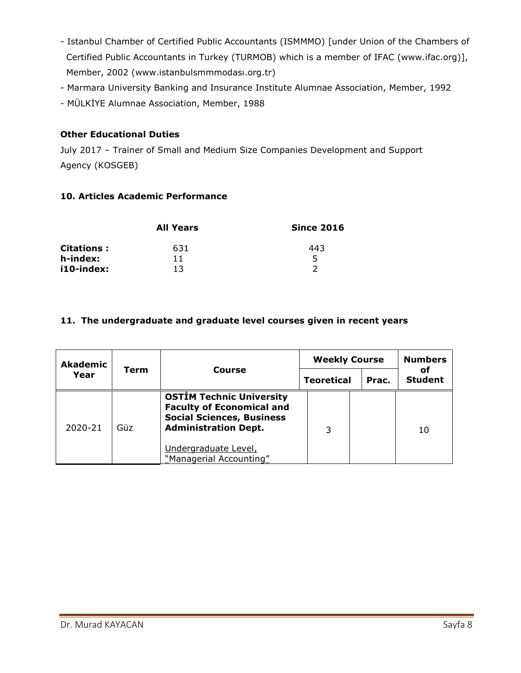- Istanbul Chamber of Certified Public Accountants (ISMMMO) [under Union of the Chambers of Certified Public Accountants in Turkey (TURMOB) which is a member of IFAC (www.ifac.org)], Member, 2002 (www.istanbulsmmmodası.org.tr)
- Marmara University Banking and Insurance Institute Alumnae Association, Member, 1992
- MÜLKİYE Alumnae Association, Member, 1988

## **Other Educational Duties**

July 2017 – Trainer of Small and Medium Size Companies Development and Support Agency (KOSGEB)

#### **10. Articles Academic Performance**

|             | <b>All Years</b> | <b>Since 2016</b> |  |  |
|-------------|------------------|-------------------|--|--|
| Citations : | 631              | 443               |  |  |
| h-index:    | 11               |                   |  |  |
| i10-index:  | 13               |                   |  |  |

#### **11. The undergraduate and graduate level courses given in recent years**

| <b>Akademic</b><br>Year | Term | Course                                                                                                                                 | <b>Weekly Course</b> |       | <b>Numbers</b>       |
|-------------------------|------|----------------------------------------------------------------------------------------------------------------------------------------|----------------------|-------|----------------------|
|                         |      |                                                                                                                                        | <b>Teoretical</b>    | Prac. | оf<br><b>Student</b> |
| 2020-21                 | Güz  | <b>OSTİM Technic University</b><br><b>Faculty of Economical and</b><br><b>Social Sciences, Business</b><br><b>Administration Dept.</b> | 3                    |       | 10                   |
|                         |      | Undergraduate Level,<br>"Managerial Accounting"                                                                                        |                      |       |                      |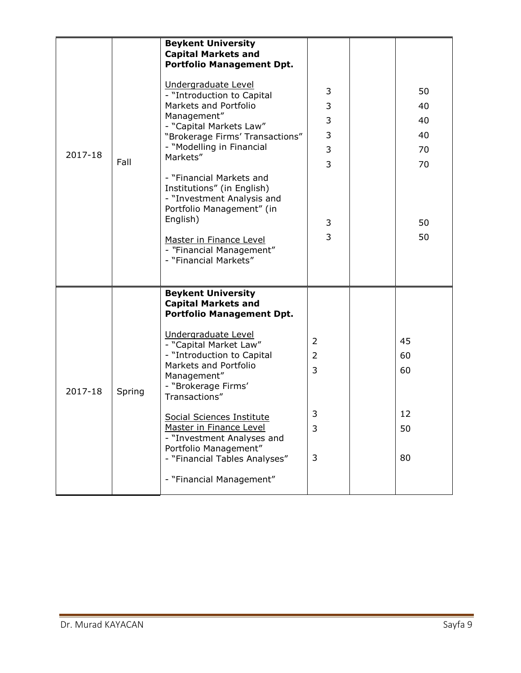| 2017-18 | Fall   | <b>Beykent University</b><br><b>Capital Markets and</b><br><b>Portfolio Management Dpt.</b><br>Undergraduate Level<br>- "Introduction to Capital<br>Markets and Portfolio<br>Management"<br>- "Capital Markets Law"<br>"Brokerage Firms' Transactions"<br>- "Modelling in Financial<br>Markets"<br>- "Financial Markets and<br>Institutions" (in English)<br>- "Investment Analysis and<br>Portfolio Management" (in<br>English)<br>Master in Finance Level<br>- "Financial Management" | 3<br>3<br>3<br>3<br>3<br>$\overline{3}$<br>3<br>3 | 50<br>40<br>40<br>40<br>70<br>70<br>50<br>50 |
|---------|--------|-----------------------------------------------------------------------------------------------------------------------------------------------------------------------------------------------------------------------------------------------------------------------------------------------------------------------------------------------------------------------------------------------------------------------------------------------------------------------------------------|---------------------------------------------------|----------------------------------------------|
|         |        | - "Financial Markets"                                                                                                                                                                                                                                                                                                                                                                                                                                                                   |                                                   |                                              |
| 2017-18 | Spring | <b>Beykent University</b><br><b>Capital Markets and</b><br><b>Portfolio Management Dpt.</b><br>Undergraduate Level<br>- "Capital Market Law"<br>- "Introduction to Capital<br>Markets and Portfolio<br>Management"<br>- "Brokerage Firms'<br>Transactions"<br>Social Sciences Institute<br><b>Master in Finance Level</b><br>- "Investment Analyses and<br>Portfolio Management"<br>- "Financial Tables Analyses"<br>- "Financial Management"                                           | 2<br>2<br>3<br>3<br>3<br>3                        | 45<br>60<br>60<br>12<br>50<br>80             |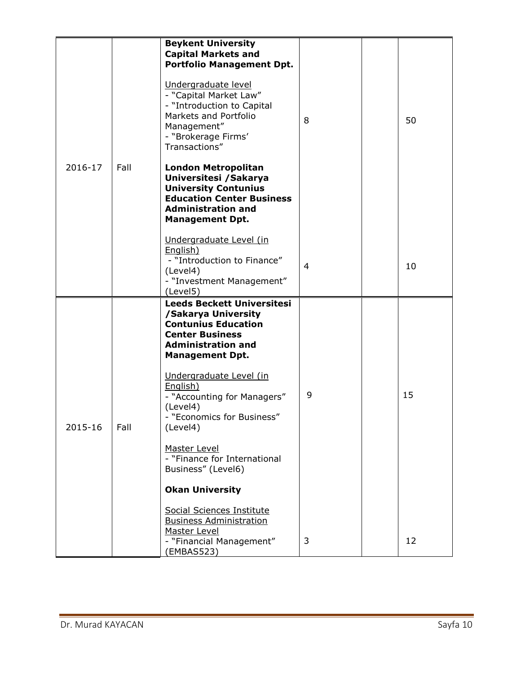|         |      | <b>Beykent University</b><br><b>Capital Markets and</b><br><b>Portfolio Management Dpt.</b><br>Undergraduate level                                                             |                |    |
|---------|------|--------------------------------------------------------------------------------------------------------------------------------------------------------------------------------|----------------|----|
|         |      | - "Capital Market Law"<br>- "Introduction to Capital<br>Markets and Portfolio<br>Management"<br>- "Brokerage Firms'<br>Transactions"                                           | 8              | 50 |
| 2016-17 | Fall | <b>London Metropolitan</b><br>Universitesi / Sakarya<br><b>University Contunius</b><br><b>Education Center Business</b><br><b>Administration and</b><br><b>Management Dpt.</b> |                |    |
|         |      | Undergraduate Level (in<br>English)<br>- "Introduction to Finance"<br>(Level4)<br>- "Investment Management"<br>(Level5)                                                        | $\overline{4}$ | 10 |
|         |      | <b>Leeds Beckett Universitesi</b><br>/Sakarya University<br><b>Contunius Education</b><br><b>Center Business</b><br><b>Administration and</b><br><b>Management Dpt.</b>        |                |    |
| 2015-16 | Fall | Undergraduate Level (in<br>English)<br>- "Accounting for Managers"<br>(Level4)<br>"Economics for Business"<br>(Level4)                                                         | 9              | 15 |
|         |      | <b>Master Level</b><br>- "Finance for International<br>Business" (Level6)                                                                                                      |                |    |
|         |      | <b>Okan University</b>                                                                                                                                                         |                |    |
|         |      | Social Sciences Institute<br><b>Business Administration</b><br>Master Level                                                                                                    |                |    |
|         |      | - "Financial Management"<br>(EMBAS523)                                                                                                                                         | 3              | 12 |